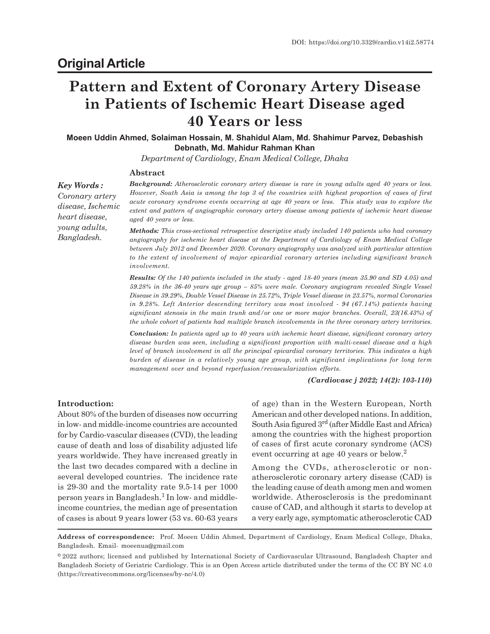# **Pattern and Extent of Coronary Artery Disease in Patients of Ischemic Heart Disease aged 40 Years or less**

**Moeen Uddin Ahmed, Solaiman Hossain, M. Shahidul Alam, Md. Shahimur Parvez, Debashish Debnath, Md. Mahidur Rahman Khan**

*Department of Cardiology, Enam Medical College, Dhaka*

## **Abstract**

*Key Words : Coronary artery disease, Ischemic heart disease, young adults, Bangladesh.*

*Background: Atherosclerotic coronary artery disease is rare in young adults aged 40 years or less. However, South Asia is among the top 3 of the countries with highest proportion of cases of first acute coronary syndrome events occurring at age 40 years or less. This study was to explore the extent and pattern of angiographic coronary artery disease among patients of ischemic heart disease aged 40 years or less.*

*Methods: This cross-sectional retrospective descriptive study included 140 patients who had coronary angiography for ischemic heart disease at the Department of Cardiology of Enam Medical College between July 2012 and December 2020. Coronary angiography was analyzed with particular attention to the extent of involvement of major epicardial coronary arteries including significant branch involvement.*

*Results: Of the 140 patients included in the study - aged 18-40 years (mean 35.90 and SD 4.05) and 59.28% in the 36-40 years age group – 85% were male. Coronary angiogram revealed Single Vessel Disease in 39.29%, Double Vessel Disease in 25.72%, Triple Vessel disease in 23.57%, normal Coronaries in 9.28%. Left Anterior descending territory was most involved - 94 (67.14%) patients having significant stenosis in the main trunk and/or one or more major branches. Overall, 23(16.43%) of the whole cohort of patients had multiple branch involvements in the three coronary artery territories.*

*Conclusion: In patients aged up to 40 years with ischemic heart disease, significant coronary artery disease burden was seen, including a significant proportion with multi-vessel disease and a high level of branch involvement in all the principal epicardial coronary territories. This indicates a high burden of disease in a relatively young age group, with significant implications for long term management over and beyond reperfusion/revascularization efforts.*

*(Cardiovasc j 2022; 14(2): 103-110)*

## **Introduction:**

About 80% of the burden of diseases now occurring in low- and middle-income countries are accounted for by Cardio-vascular diseases (CVD), the leading cause of death and loss of disability adjusted life years worldwide. They have increased greatly in the last two decades compared with a decline in several developed countries. The incidence rate is 29-30 and the mortality rate 9.5-14 per 1000 person years in Bangladesh.<sup>1</sup> In low- and middleincome countries, the median age of presentation of cases is about 9 years lower (53 vs. 60-63 years of age) than in the Western European, North American and other developed nations. In addition, South Asia figured 3rd (after Middle East and Africa) among the countries with the highest proportion of cases of first acute coronary syndrome (ACS) event occurring at age 40 years or below.<sup>2</sup>

Among the CVDs, atherosclerotic or nonatherosclerotic coronary artery disease (CAD) is the leading cause of death among men and women worldwide. Atherosclerosis is the predominant cause of CAD, and although it starts to develop at a very early age, symptomatic atherosclerotic CAD

**Address of correspondence:** Prof. Moeen Uddin Ahmed, Department of Cardiology, Enam Medical College, Dhaka, Bangladesh. Email- moeenua@gmail.com

<sup>©2022</sup> authors; licensed and published by International Society of Cardiovascular Ultrasound, Bangladesh Chapter and Bangladesh Society of Geriatric Cardiology. This is an Open Access article distributed under the terms of the CC BY NC 4.0 (https://creativecommons.org/licenses/by-nc/4.0)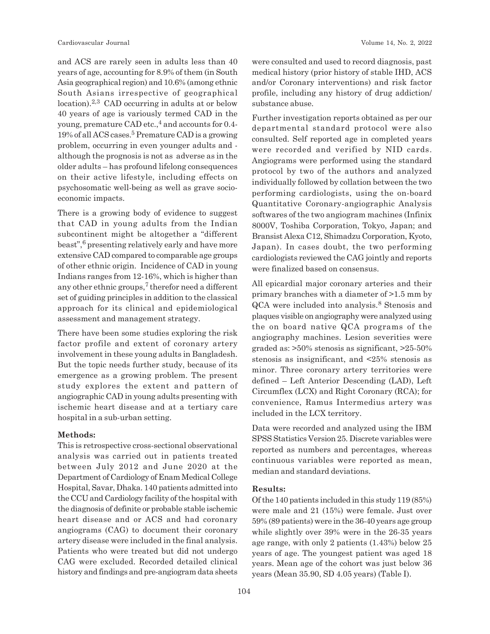and ACS are rarely seen in adults less than 40 years of age, accounting for 8.9% of them (in South Asia geographical region) and 10.6% (among ethnic South Asians irrespective of geographical location).<sup>2,3</sup> CAD occurring in adults at or below 40 years of age is variously termed CAD in the young, premature CAD etc.,<sup>4</sup> and accounts for 0.4-19% of all ACS cases.<sup>5</sup> Premature CAD is a growing problem, occurring in even younger adults and although the prognosis is not as adverse as in the older adults – has profound lifelong consequences on their active lifestyle, including effects on psychosomatic well-being as well as grave socioeconomic impacts.

There is a growing body of evidence to suggest that CAD in young adults from the Indian subcontinent might be altogether a "different beast",<sup>6</sup> presenting relatively early and have more extensive CAD compared to comparable age groups of other ethnic origin. Incidence of CAD in young Indians ranges from 12-16%, which is higher than any other ethnic groups, $7$  therefor need a different set of guiding principles in addition to the classical approach for its clinical and epidemiological assessment and management strategy.

There have been some studies exploring the risk factor profile and extent of coronary artery involvement in these young adults in Bangladesh. But the topic needs further study, because of its emergence as a growing problem. The present study explores the extent and pattern of angiographic CAD in young adults presenting with ischemic heart disease and at a tertiary care hospital in a sub-urban setting.

## **Methods:**

This is retrospective cross-sectional observational analysis was carried out in patients treated between July 2012 and June 2020 at the Department of Cardiology of Enam Medical College Hospital, Savar, Dhaka. 140 patients admitted into the CCU and Cardiology facility of the hospital with the diagnosis of definite or probable stable ischemic heart disease and or ACS and had coronary angiograms (CAG) to document their coronary artery disease were included in the final analysis. Patients who were treated but did not undergo CAG were excluded. Recorded detailed clinical history and findings and pre-angiogram data sheets were consulted and used to record diagnosis, past medical history (prior history of stable IHD, ACS and/or Coronary interventions) and risk factor profile, including any history of drug addiction/ substance abuse.

Further investigation reports obtained as per our departmental standard protocol were also consulted. Self reported age in completed years were recorded and verified by NID cards. Angiograms were performed using the standard protocol by two of the authors and analyzed individually followed by collation between the two performing cardiologists, using the on-board Quantitative Coronary-angiographic Analysis softwares of the two angiogram machines (Infinix 8000V, Toshiba Corporation, Tokyo, Japan; and Bransist Alexa C12, Shimadzu Corporation, Kyoto, Japan). In cases doubt, the two performing cardiologists reviewed the CAG jointly and reports were finalized based on consensus.

All epicardial major coronary arteries and their primary branches with a diameter of >1.5 mm by QCA were included into analysis.<sup>8</sup> Stenosis and plaques visible on angiography were analyzed using the on board native QCA programs of the angiography machines. Lesion severities were graded as: >50% stenosis as significant, >25-50% stenosis as insignificant, and <25% stenosis as minor. Three coronary artery territories were defined – Left Anterior Descending (LAD), Left Circumflex (LCX) and Right Coronary (RCA); for convenience, Ramus Intermedius artery was included in the LCX territory.

Data were recorded and analyzed using the IBM SPSS Statistics Version 25. Discrete variables were reported as numbers and percentages, whereas continuous variables were reported as mean, median and standard deviations.

# **Results:**

Of the 140 patients included in this study 119 (85%) were male and 21 (15%) were female. Just over 59% (89 patients) were in the 36-40 years age group while slightly over 39% were in the 26-35 years age range, with only 2 patients (1.43%) below 25 years of age. The youngest patient was aged 18 years. Mean age of the cohort was just below 36 years (Mean 35.90, SD 4.05 years) (Table I).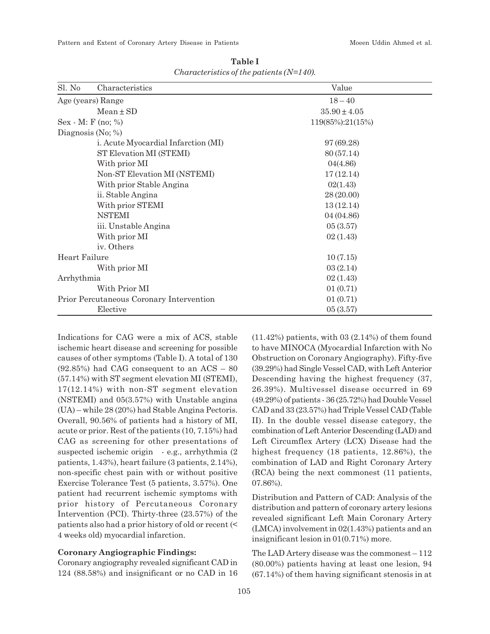| Sl. No                                   | Characteristics                     | Value            |  |
|------------------------------------------|-------------------------------------|------------------|--|
| Age (years) Range                        |                                     | $18 - 40$        |  |
|                                          | $Mean \pm SD$                       | $35.90 \pm 4.05$ |  |
| $Sex - M: F (no; %)$                     |                                     | 119(85%):21(15%) |  |
|                                          | Diagnosis (No; $\%$ )               |                  |  |
|                                          | i. Acute Myocardial Infarction (MI) | 97 (69.28)       |  |
|                                          | ST Elevation MI (STEMI)             | 80 (57.14)       |  |
|                                          | With prior MI                       | 04(4.86)         |  |
|                                          | Non-ST Elevation MI (NSTEMI)        | 17(12.14)        |  |
|                                          | With prior Stable Angina            | 02(1.43)         |  |
|                                          | ii. Stable Angina                   | 28(20.00)        |  |
|                                          | With prior STEMI                    | 13(12.14)        |  |
|                                          | <b>NSTEMI</b>                       | 04 (04.86)       |  |
|                                          | iii. Unstable Angina                | 05(3.57)         |  |
|                                          | With prior MI                       | 02(1.43)         |  |
|                                          | iv. Others                          |                  |  |
| Heart Failure                            |                                     | 10(7.15)         |  |
|                                          | With prior MI                       | 03(2.14)         |  |
| Arrhythmia                               |                                     | 02(1.43)         |  |
|                                          | With Prior MI                       | 01(0.71)         |  |
| Prior Percutaneous Coronary Intervention |                                     | 01(0.71)         |  |
| Elective                                 |                                     | 05(3.57)         |  |

**Table I** *Characteristics of the patients (N=140).*

Indications for CAG were a mix of ACS, stable ischemic heart disease and screening for possible causes of other symptoms (Table I). A total of 130 (92.85%) had CAG consequent to an ACS – 80 (57.14%) with ST segment elevation MI (STEMI), 17(12.14%) with non-ST segment elevation (NSTEMI) and 05(3.57%) with Unstable angina (UA) – while 28 (20%) had Stable Angina Pectoris. Overall, 90.56% of patients had a history of MI, acute or prior. Rest of the patients (10, 7.15%) had CAG as screening for other presentations of suspected ischemic origin - e.g., arrhythmia (2 patients, 1.43%), heart failure (3 patients, 2.14%), non-specific chest pain with or without positive Exercise Tolerance Test (5 patients, 3.57%). One patient had recurrent ischemic symptoms with prior history of Percutaneous Coronary Intervention (PCI). Thirty-three (23.57%) of the patients also had a prior history of old or recent (< 4 weeks old) myocardial infarction.

# **Coronary Angiographic Findings:**

Coronary angiography revealed significant CAD in 124 (88.58%) and insignificant or no CAD in 16  $(11.42\%)$  patients, with 03  $(2.14\%)$  of them found to have MINOCA (Myocardial Infarction with No Obstruction on Coronary Angiography). Fifty-five (39.29%) had Single Vessel CAD, with Left Anterior Descending having the highest frequency (37, 26.39%). Multivessel disease occurred in 69 (49.29%) of patients - 36 (25.72%) had Double Vessel CAD and 33 (23.57%) had Triple Vessel CAD (Table II). In the double vessel disease category, the combination of Left Anterior Descending (LAD) and Left Circumflex Artery (LCX) Disease had the highest frequency (18 patients, 12.86%), the combination of LAD and Right Coronary Artery (RCA) being the next commonest (11 patients, 07.86%).

Distribution and Pattern of CAD: Analysis of the distribution and pattern of coronary artery lesions revealed significant Left Main Coronary Artery (LMCA) involvement in 02(1.43%) patients and an insignificant lesion in 01(0.71%) more.

The LAD Artery disease was the commonest – 112 (80.00%) patients having at least one lesion, 94 (67.14%) of them having significant stenosis in at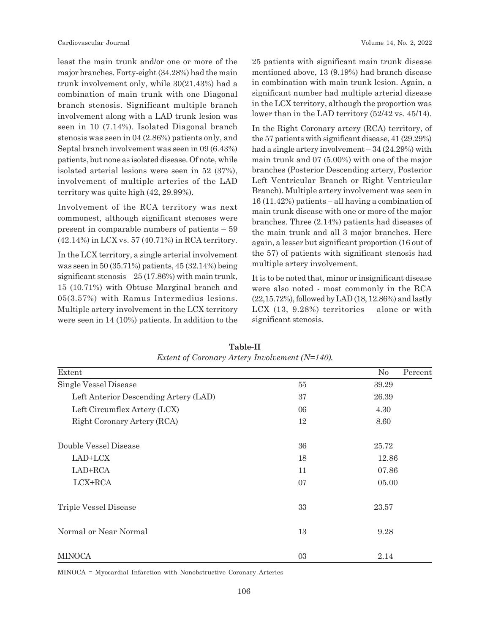least the main trunk and/or one or more of the major branches. Forty-eight (34.28%) had the main trunk involvement only, while 30(21.43%) had a combination of main trunk with one Diagonal branch stenosis. Significant multiple branch involvement along with a LAD trunk lesion was seen in 10 (7.14%). Isolated Diagonal branch stenosis was seen in 04 (2.86%) patients only, and Septal branch involvement was seen in 09 (6.43%) patients, but none as isolated disease. Of note, while isolated arterial lesions were seen in 52 (37%), involvement of multiple arteries of the LAD territory was quite high (42, 29.99%).

Involvement of the RCA territory was next commonest, although significant stenoses were present in comparable numbers of patients – 59 (42.14%) in LCX vs. 57 (40.71%) in RCA territory.

In the LCX territory, a single arterial involvement was seen in 50 (35.71%) patients, 45 (32.14%) being significant stenosis – 25 (17.86%) with main trunk, 15 (10.71%) with Obtuse Marginal branch and 05(3.57%) with Ramus Intermedius lesions. Multiple artery involvement in the LCX territory were seen in 14 (10%) patients. In addition to the 25 patients with significant main trunk disease mentioned above, 13 (9.19%) had branch disease in combination with main trunk lesion. Again, a significant number had multiple arterial disease in the LCX territory, although the proportion was lower than in the LAD territory (52/42 vs. 45/14).

In the Right Coronary artery (RCA) territory, of the 57 patients with significant disease, 41 (29.29%) had a single artery involvement – 34 (24.29%) with main trunk and 07 (5.00%) with one of the major branches (Posterior Descending artery, Posterior Left Ventricular Branch or Right Ventricular Branch). Multiple artery involvement was seen in 16 (11.42%) patients – all having a combination of main trunk disease with one or more of the major branches. Three (2.14%) patients had diseases of the main trunk and all 3 major branches. Here again, a lesser but significant proportion (16 out of the 57) of patients with significant stenosis had multiple artery involvement.

It is to be noted that, minor or insignificant disease were also noted - most commonly in the RCA (22,15.72%), followed by LAD (18, 12.86%) and lastly LCX (13, 9.28%) territories – alone or with significant stenosis.

| Extent                                |    | No<br>Percent |  |
|---------------------------------------|----|---------------|--|
| Single Vessel Disease                 | 55 | 39.29         |  |
| Left Anterior Descending Artery (LAD) | 37 | 26.39         |  |
| Left Circumflex Artery (LCX)          | 06 | 4.30          |  |
| Right Coronary Artery (RCA)           | 12 | 8.60          |  |
| Double Vessel Disease                 | 36 | 25.72         |  |
| LAD+LCX                               | 18 | 12.86         |  |
| LAD+RCA                               | 11 | 07.86         |  |
| LCX+RCA                               | 07 | 05.00         |  |
| Triple Vessel Disease                 | 33 | 23.57         |  |
| Normal or Near Normal                 | 13 | 9.28          |  |
| <b>MINOCA</b>                         | 03 | 2.14          |  |

**Table-II** *Extent of Coronary Artery Involvement (N=140).*

MINOCA = Myocardial Infarction with Nonobstructive Coronary Arteries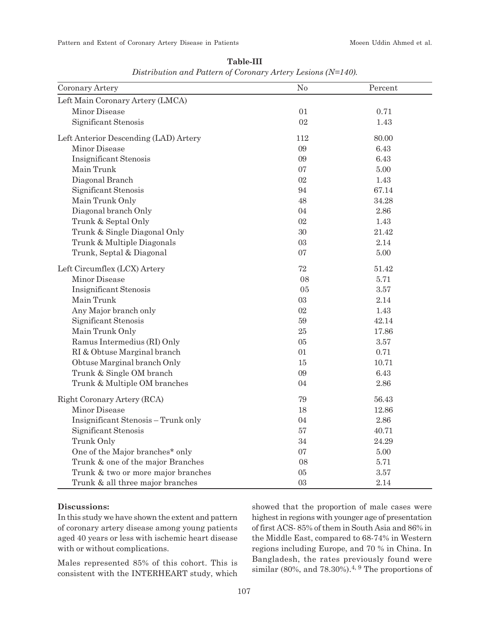| Coronary Artery                       | No     | Percent  |
|---------------------------------------|--------|----------|
| Left Main Coronary Artery (LMCA)      |        |          |
| Minor Disease                         | 01     | 0.71     |
| Significant Stenosis                  | $02\,$ | 1.43     |
| Left Anterior Descending (LAD) Artery | 112    | 80.00    |
| Minor Disease                         | 09     | 6.43     |
| Insignificant Stenosis                | 09     | 6.43     |
| Main Trunk                            | 07     | 5.00     |
| Diagonal Branch                       | 02     | 1.43     |
| Significant Stenosis                  | 94     | 67.14    |
| Main Trunk Only                       | 48     | 34.28    |
| Diagonal branch Only                  | 04     | $2.86\,$ |
| Trunk & Septal Only                   | $02\,$ | 1.43     |
| Trunk & Single Diagonal Only          | 30     | 21.42    |
| Trunk & Multiple Diagonals            | 03     | 2.14     |
| Trunk, Septal & Diagonal              | 07     | 5.00     |
| Left Circumflex (LCX) Artery          | 72     | 51.42    |
| Minor Disease                         | 08     | 5.71     |
| <b>Insignificant Stenosis</b>         | 05     | 3.57     |
| Main Trunk                            | 03     | 2.14     |
| Any Major branch only                 | 02     | 1.43     |
| Significant Stenosis                  | $59\,$ | 42.14    |
| Main Trunk Only                       | 25     | 17.86    |
| Ramus Intermedius (RI) Only           | 05     | 3.57     |
| RI & Obtuse Marginal branch           | 01     | 0.71     |
| Obtuse Marginal branch Only           | $15\,$ | 10.71    |
| Trunk & Single OM branch              | 09     | 6.43     |
| Trunk & Multiple OM branches          | 04     | 2.86     |
| Right Coronary Artery (RCA)           | 79     | 56.43    |
| Minor Disease                         | 18     | 12.86    |
| Insignificant Stenosis - Trunk only   | 04     | 2.86     |
| Significant Stenosis                  | 57     | 40.71    |
| Trunk Only                            | 34     | 24.29    |
| One of the Major branches* only       | 07     | 5.00     |
| Trunk & one of the major Branches     | 08     | 5.71     |
| Trunk & two or more major branches    | $05\,$ | 3.57     |
| Trunk & all three major branches      | 03     | 2.14     |

**Table-III** *Distribution and Pattern of Coronary Artery Lesions (N=140).*

# **Discussions:**

In this study we have shown the extent and pattern of coronary artery disease among young patients aged 40 years or less with ischemic heart disease with or without complications.

Males represented 85% of this cohort. This is consistent with the INTERHEART study, which

showed that the proportion of male cases were highest in regions with younger age of presentation of first ACS- 85% of them in South Asia and 86% in the Middle East, compared to 68-74% in Western regions including Europe, and 70 % in China. In Bangladesh, the rates previously found were similar (80%, and 78.30%).<sup>4, 9</sup> The proportions of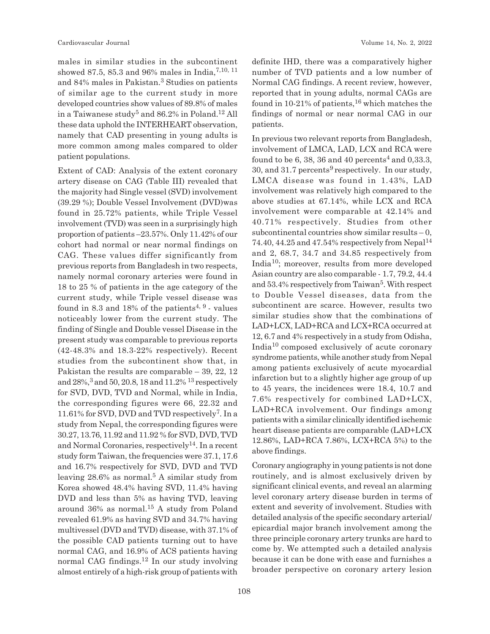males in similar studies in the subcontinent showed 87.5, 85.3 and 96% males in India,  $^{7,10,11}$ and 84% males in Pakistan.<sup>3</sup> Studies on patients of similar age to the current study in more developed countries show values of 89.8% of males in a Taiwanese study $^5$  and 86.2% in Poland. $^{12}$  All these data uphold the INTERHEART observation, namely that CAD presenting in young adults is more common among males compared to older patient populations.

Extent of CAD: Analysis of the extent coronary artery disease on CAG (Table III) revealed that the majority had Single vessel (SVD) involvement (39.29 %); Double Vessel Involvement (DVD)was found in 25.72% patients, while Triple Vessel involvement (TVD) was seen in a surprisingly high proportion of patients –23.57%. Only 11.42% of our cohort had normal or near normal findings on CAG. These values differ significantly from previous reports from Bangladesh in two respects, namely normal coronary arteries were found in 18 to 25 % of patients in the age category of the current study, while Triple vessel disease was found in 8.3 and 18% of the patients<sup>4, 9</sup> - values noticeably lower from the current study. The finding of Single and Double vessel Disease in the present study was comparable to previous reports (42-48.3% and 18.3-22% respectively). Recent studies from the subcontinent show that, in Pakistan the results are comparable – 39, 22, 12 and  $28\%,^3$  and  $50, 20.8, 18$  and  $11.2\%$  <sup>13</sup> respectively for SVD, DVD, TVD and Normal, while in India, the corresponding figures were 66, 22.32 and 11.61% for SVD, DVD and TVD respectively<sup>7</sup>. In a study from Nepal, the corresponding figures were 30.27, 13.76, 11.92 and 11.92 % for SVD, DVD, TVD and Normal Coronaries, respectively<sup>14</sup>. In a recent study form Taiwan, the frequencies were 37.1, 17.6 and 16.7% respectively for SVD, DVD and TVD leaving 28.6% as normal.<sup>5</sup> A similar study from Korea showed 48.4% having SVD, 11.4% having DVD and less than 5% as having TVD, leaving around  $36\%$  as normal.<sup>15</sup> A study from Poland revealed 61.9% as having SVD and 34.7% having multivessel (DVD and TVD) disease, with 37.1% of the possible CAD patients turning out to have normal CAG, and 16.9% of ACS patients having normal CAG findings.12 In our study involving almost entirely of a high-risk group of patients with definite IHD, there was a comparatively higher number of TVD patients and a low number of Normal CAG findings. A recent review, however, reported that in young adults, normal CAGs are found in 10-21% of patients,  $16$  which matches the findings of normal or near normal CAG in our patients.

In previous two relevant reports from Bangladesh, involvement of LMCA, LAD, LCX and RCA were found to be 6, 38, 36 and 40 percents<sup>4</sup> and 0,33.3, 30, and 31.7 percents<sup>9</sup> respectively. In our study, LMCA disease was found in 1.43%, LAD involvement was relatively high compared to the above studies at 67.14%, while LCX and RCA involvement were comparable at 42.14% and 40.71% respectively. Studies from other subcontinental countries show similar results  $-0$ , 74.40, 44.25 and 47.54% respectively from Nepal<sup>14</sup> and 2, 68.7, 34.7 and 34.85 respectively from India10; moreover, results from more developed Asian country are also comparable - 1.7, 79.2, 44.4 and 53.4% respectively from Taiwan<sup>5</sup>. With respect to Double Vessel diseases, data from the subcontinent are scarce. However, results two similar studies show that the combinations of LAD+LCX, LAD+RCA and LCX+RCA occurred at 12, 6.7 and 4% respectively in a study from Odisha, India10 composed exclusively of acute coronary syndrome patients, while another study from Nepal among patients exclusively of acute myocardial infarction but to a slightly higher age group of up to 45 years, the incidences were 18.4, 10.7 and 7.6% respectively for combined LAD+LCX, LAD+RCA involvement. Our findings among patients with a similar clinically identified ischemic heart disease patients are comparable (LAD+LCX 12.86%, LAD+RCA 7.86%, LCX+RCA 5%) to the above findings.

Coronary angiography in young patients is not done routinely, and is almost exclusively driven by significant clinical events, and reveal an alarming level coronary artery disease burden in terms of extent and severity of involvement. Studies with detailed analysis of the specific secondary arterial/ epicardial major branch involvement among the three principle coronary artery trunks are hard to come by. We attempted such a detailed analysis because it can be done with ease and furnishes a broader perspective on coronary artery lesion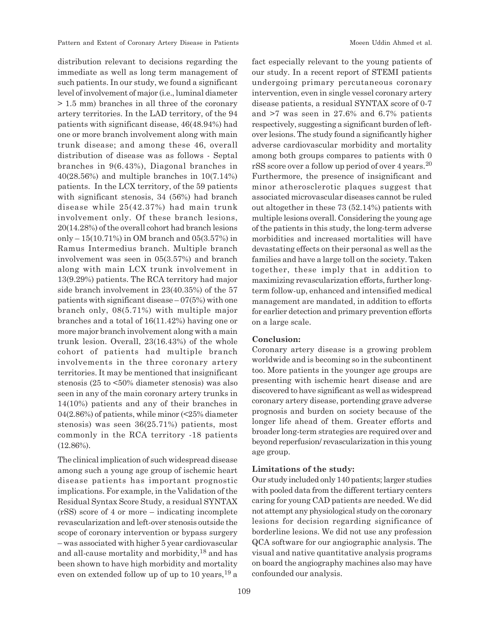distribution relevant to decisions regarding the immediate as well as long term management of such patients. In our study, we found a significant level of involvement of major (i.e., luminal diameter > 1.5 mm) branches in all three of the coronary artery territories. In the LAD territory, of the 94 patients with significant disease, 46(48.94%) had one or more branch involvement along with main trunk disease; and among these 46, overall distribution of disease was as follows - Septal branches in 9(6.43%), Diagonal branches in 40(28.56%) and multiple branches in 10(7.14%) patients. In the LCX territory, of the 59 patients with significant stenosis, 34 (56%) had branch disease while 25(42.37%) had main trunk involvement only. Of these branch lesions, 20(14.28%) of the overall cohort had branch lesions only – 15(10.71%) in OM branch and 05(3.57%) in Ramus Intermedius branch. Multiple branch involvement was seen in 05(3.57%) and branch along with main LCX trunk involvement in 13(9.29%) patients. The RCA territory had major side branch involvement in 23(40.35%) of the 57 patients with significant disease  $-07(5%)$  with one branch only, 08(5.71%) with multiple major branches and a total of 16(11.42%) having one or more major branch involvement along with a main trunk lesion. Overall, 23(16.43%) of the whole cohort of patients had multiple branch involvements in the three coronary artery territories. It may be mentioned that insignificant stenosis (25 to <50% diameter stenosis) was also seen in any of the main coronary artery trunks in 14(10%) patients and any of their branches in 04(2.86%) of patients, while minor (<25% diameter stenosis) was seen 36(25.71%) patients, most commonly in the RCA territory -18 patients (12.86%).

The clinical implication of such widespread disease among such a young age group of ischemic heart disease patients has important prognostic implications. For example, in the Validation of the Residual Syntax Score Study, a residual SYNTAX (rSS) score of 4 or more – indicating incomplete revascularization and left-over stenosis outside the scope of coronary intervention or bypass surgery – was associated with higher 5 year cardiovascular and all-cause mortality and morbidity,18 and has been shown to have high morbidity and mortality even on extended follow up of up to 10 years,  $19a$ 

109

fact especially relevant to the young patients of our study. In a recent report of STEMI patients undergoing primary percutaneous coronary intervention, even in single vessel coronary artery disease patients, a residual SYNTAX score of 0-7 and >7 was seen in 27.6% and 6.7% patients respectively, suggesting a significant burden of leftover lesions. The study found a significantly higher adverse cardiovascular morbidity and mortality among both groups compares to patients with 0 rSS score over a follow up period of over 4 years.<sup>20</sup> Furthermore, the presence of insignificant and minor atherosclerotic plaques suggest that associated microvascular diseases cannot be ruled out altogether in these 73 (52.14%) patients with multiple lesions overall. Considering the young age of the patients in this study, the long-term adverse morbidities and increased mortalities will have devastating effects on their personal as well as the families and have a large toll on the society. Taken together, these imply that in addition to maximizing revascularization efforts, further longterm follow-up, enhanced and intensified medical management are mandated, in addition to efforts for earlier detection and primary prevention efforts on a large scale.

#### **Conclusion:**

Coronary artery disease is a growing problem worldwide and is becoming so in the subcontinent too. More patients in the younger age groups are presenting with ischemic heart disease and are discovered to have significant as well as widespread coronary artery disease, portending grave adverse prognosis and burden on society because of the longer life ahead of them. Greater efforts and broader long-term strategies are required over and beyond reperfusion/ revascularization in this young age group.

# **Limitations of the study:**

Our study included only 140 patients; larger studies with pooled data from the different tertiary centers caring for young CAD patients are needed. We did not attempt any physiological study on the coronary lesions for decision regarding significance of borderline lesions. We did not use any profession QCA software for our angiographic analysis. The visual and native quantitative analysis programs on board the angiography machines also may have confounded our analysis.